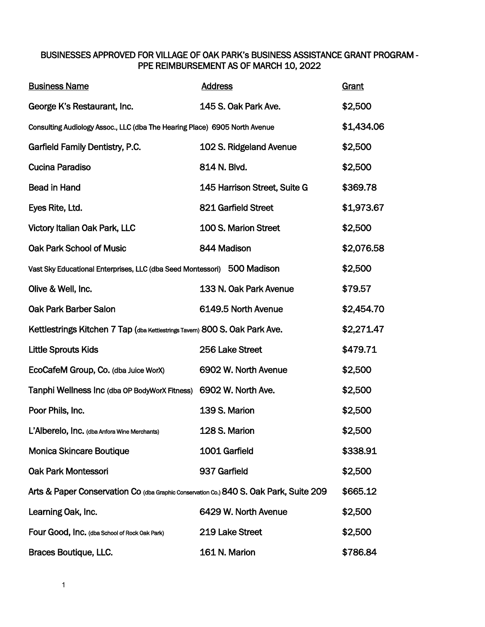## BUSINESSES APPROVED FOR VILLAGE OF OAK PARK's BUSINESS ASSISTANCE GRANT PROGRAM - PPE REIMBURSEMENT AS OF MARCH 10, 2022

| <b>Business Name</b>                                                                   | <b>Address</b>               | Grant      |
|----------------------------------------------------------------------------------------|------------------------------|------------|
| George K's Restaurant, Inc.                                                            | 145 S. Oak Park Ave.         | \$2,500    |
| Consulting Audiology Assoc., LLC (dba The Hearing Place) 6905 North Avenue             |                              | \$1,434.06 |
| Garfield Family Dentistry, P.C.                                                        | 102 S. Ridgeland Avenue      | \$2,500    |
| <b>Cucina Paradiso</b>                                                                 | 814 N. Blvd.                 | \$2,500    |
| <b>Bead in Hand</b>                                                                    | 145 Harrison Street, Suite G | \$369.78   |
| Eyes Rite, Ltd.                                                                        | 821 Garfield Street          | \$1,973.67 |
| <b>Victory Italian Oak Park, LLC</b>                                                   | 100 S. Marion Street         | \$2,500    |
| Oak Park School of Music                                                               | 844 Madison                  | \$2,076.58 |
| Vast Sky Educational Enterprises, LLC (dba Seed Montessori) 500 Madison                |                              |            |
| Olive & Well, Inc.                                                                     | 133 N. Oak Park Avenue       | \$79.57    |
| <b>Oak Park Barber Salon</b>                                                           | 6149.5 North Avenue          | \$2,454.70 |
| Kettlestrings Kitchen 7 Tap (dba Kettlestrings Tavem) 800 S. Oak Park Ave.             |                              |            |
| <b>Little Sprouts Kids</b>                                                             | 256 Lake Street              | \$479.71   |
| EcoCafeM Group, Co. (dba Juice WorX)                                                   | 6902 W. North Avenue         | \$2,500    |
| Tanphi Wellness Inc (dba OP BodyWorX Fitness)                                          | 6902 W. North Ave.           | \$2,500    |
| Poor Phils, Inc.                                                                       | 139 S. Marion                | \$2,500    |
| L'Alberelo, Inc. (dba Anfora Wine Merchants)                                           | 128 S. Marion                | \$2,500    |
| <b>Monica Skincare Boutique</b>                                                        | 1001 Garfield                | \$338.91   |
| <b>Oak Park Montessori</b>                                                             | 937 Garfield                 | \$2,500    |
| Arts & Paper Conservation Co (dba Graphic Conservation Co.) 840 S. Oak Park, Suite 209 |                              | \$665.12   |
| Learning Oak, Inc.                                                                     | 6429 W. North Avenue         | \$2,500    |
| Four Good, Inc. (dba School of Rock Oak Park)                                          | 219 Lake Street              | \$2,500    |
| Braces Boutique, LLC.                                                                  | 161 N. Marion                | \$786.84   |